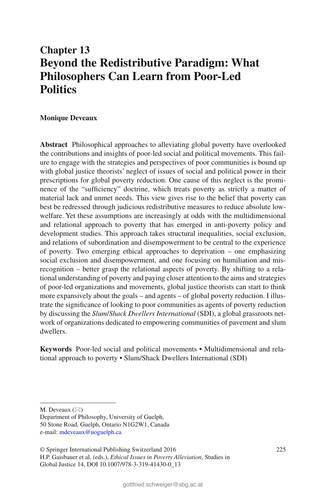# **Chapter 13 Beyond the Redistributive Paradigm: What Philosophers Can Learn from Poor-Led Politics**

#### **Monique Deveaux**

 **Abstract** Philosophical approaches to alleviating global poverty have overlooked the contributions and insights of poor-led social and political movements. This failure to engage with the strategies and perspectives of poor communities is bound up with global justice theorists' neglect of issues of social and political power in their prescriptions for global poverty reduction. One cause of this neglect is the prominence of the "sufficiency" doctrine, which treats poverty as strictly a matter of material lack and unmet needs. This view gives rise to the belief that poverty can best be redressed through judicious redistributive measures to reduce absolute lowwelfare. Yet these assumptions are increasingly at odds with the multidimensional and relational approach to poverty that has emerged in anti-poverty policy and development studies. This approach takes structural inequalities, social exclusion, and relations of subordination and disempowerment to be central to the experience of poverty. Two emerging ethical approaches to deprivation – one emphasizing social exclusion and disempowerment, and one focusing on humiliation and misrecognition – better grasp the relational aspects of poverty. By shifting to a relational understanding of poverty and paying closer attention to the aims and strategies of poor-led organizations and movements, global justice theorists can start to think more expansively about the goals – and agents – of global poverty reduction. I illustrate the significance of looking to poor communities as agents of poverty reduction by discussing the *Slum* / *Shack Dwellers International* (SDI), a global grassroots network of organizations dedicated to empowering communities of pavement and slum dwellers.

 **Keywords** Poor-led social and political movements • Multidimensional and relational approach to poverty • Slum/Shack Dwellers International (SDI)

M. Deveaux  $(\boxtimes)$ 

Department of Philosophy, University of Guelph, 50 Stone Road, Guelph, Ontario N1G2W1, Canada e-mail: [mdeveaux@uoguelph.ca](mailto:mdeveaux@uoguelph.ca)

<sup>©</sup> Springer International Publishing Switzerland 2016 225 H.P. Gaisbauer et al. (eds.), *Ethical Issues in Poverty Alleviation*, Studies in Global Justice 14, DOI 10.1007/978-3-319-41430-0\_13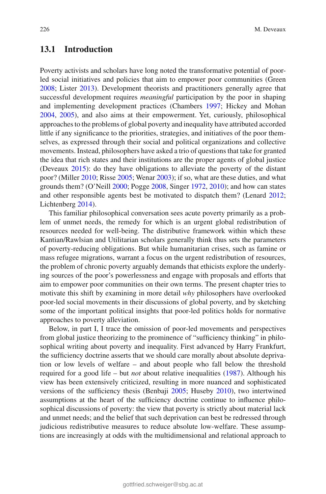#### **13.1 Introduction**

 Poverty activists and scholars have long noted the transformative potential of poorled social initiatives and policies that aim to empower poor communities (Green 2008; Lister 2013). Development theorists and practitioners generally agree that successful development requires *meaningful* participation by the poor in shaping and implementing development practices (Chambers 1997; Hickey and Mohan 2004, 2005), and also aims at their empowerment. Yet, curiously, philosophical approaches to the problems of global poverty and inequality have attributed accorded little if any significance to the priorities, strategies, and initiatives of the poor themselves, as expressed through their social and political organizations and collective movements. Instead, philosophers have asked a trio of questions that take for granted the idea that rich states and their institutions are the proper agents of global justice (Deveaux  $2015$ ): do they have obligations to alleviate the poverty of the distant poor? (Miller  $2010$ ; Risse  $2005$ ; Wenar  $2003$ ); if so, what are these duties, and what grounds them? (O'Neill 2000; Pogge 2008, Singer 1972, 2010); and how can states and other responsible agents best be motivated to dispatch them? (Lenard 2012; Lichtenberg 2014).

 This familiar philosophical conversation sees acute poverty primarily as a problem of unmet needs, the remedy for which is an urgent global redistribution of resources needed for well-being. The distributive framework within which these Kantian/Rawlsian and Utilitarian scholars generally think thus sets the parameters of poverty-reducing obligations. But while humanitarian crises, such as famine or mass refugee migrations, warrant a focus on the urgent redistribution of resources, the problem of chronic poverty arguably demands that ethicists explore the underlying sources of the poor's powerlessness and engage with proposals and efforts that aim to empower poor communities on their own terms. The present chapter tries to motivate this shift by examining in more detail *why* philosophers have overlooked poor-led social movements in their discussions of global poverty, and by sketching some of the important political insights that poor-led politics holds for normative approaches to poverty alleviation.

 Below, in part I, I trace the omission of poor-led movements and perspectives from global justice theorizing to the prominence of "sufficiency thinking" in philosophical writing about poverty and inequality. First advanced by Harry Frankfurt, the sufficiency doctrine asserts that we should care morally about absolute deprivation or low levels of welfare – and about people who fall below the threshold required for a good life – but *not* about relative inequalities ( 1987 ). Although his view has been extensively criticized, resulting in more nuanced and sophisticated versions of the sufficiency thesis (Benbaji  $2005$ ; Huseby  $2010$ ), two intertwined assumptions at the heart of the sufficiency doctrine continue to influence philosophical discussions of poverty: the view that poverty is strictly about material lack and unmet needs; and the belief that such deprivation can best be redressed through judicious redistributive measures to reduce absolute low-welfare. These assumptions are increasingly at odds with the multidimensional and relational approach to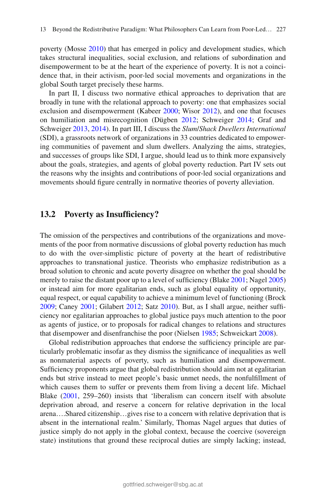poverty (Mosse 2010) that has emerged in policy and development studies, which takes structural inequalities, social exclusion, and relations of subordination and disempowerment to be at the heart of the experience of poverty. It is not a coincidence that, in their activism, poor-led social movements and organizations in the global South target precisely these harms.

 In part II, I discuss two normative ethical approaches to deprivation that are broadly in tune with the relational approach to poverty: one that emphasizes social exclusion and disempowerment (Kabeer 2000; Wisor 2012), and one that focuses on humiliation and misrecognition (Dügben 2012; Schweiger 2014; Graf and Schweiger 2013 , 2014 ). In part III, I discuss the *Slum* / *Shack Dwellers International* (SDI), a grassroots network of organizations in 33 countries dedicated to empowering communities of pavement and slum dwellers. Analyzing the aims, strategies, and successes of groups like SDI, I argue, should lead us to think more expansively about the goals, strategies, and agents of global poverty reduction. Part IV sets out the reasons why the insights and contributions of poor-led social organizations and movements should figure centrally in normative theories of poverty alleviation.

## **13.2 Poverty as Insufficiency?**

 The omission of the perspectives and contributions of the organizations and movements of the poor from normative discussions of global poverty reduction has much to do with the over-simplistic picture of poverty at the heart of redistributive approaches to transnational justice. Theorists who emphasize redistribution as a broad solution to chronic and acute poverty disagree on whether the goal should be merely to raise the distant poor up to a level of sufficiency (Blake  $2001$ ; Nagel  $2005$ ) or instead aim for more egalitarian ends, such as global equality of opportunity, equal respect, or equal capability to achieve a minimum level of functioning (Brock 2009; Caney 2001; Gilabert 2012; Satz 2010). But, as I shall argue, neither sufficiency nor egalitarian approaches to global justice pays much attention to the poor as agents of justice, or to proposals for radical changes to relations and structures that disempower and disenfranchise the poor (Nielsen 1985; Schweickart 2008).

Global redistribution approaches that endorse the sufficiency principle are particularly problematic insofar as they dismiss the significance of inequalities as well as nonmaterial aspects of poverty, such as humiliation and disempowerment. Sufficiency proponents argue that global redistribution should aim not at egalitarian ends but strive instead to meet people's basic unmet needs, the nonfulfillment of which causes them to suffer or prevents them from living a decent life. Michael Blake  $(2001, 259-260)$  insists that 'liberalism can concern itself with absolute deprivation abroad, and reserve a concern for relative deprivation in the local arena….Shared citizenship…gives rise to a concern with relative deprivation that is absent in the international realm.' Similarly, Thomas Nagel argues that duties of justice simply do not apply in the global context, because the coercive (sovereign state) institutions that ground these reciprocal duties are simply lacking; instead,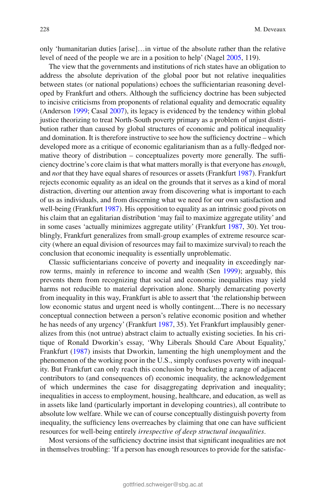only 'humanitarian duties [arise]…in virtue of the absolute rather than the relative level of need of the people we are in a position to help' (Nagel 2005, 119).

 The view that the governments and institutions of rich states have an obligation to address the absolute deprivation of the global poor but not relative inequalities between states (or national populations) echoes the sufficientarian reasoning developed by Frankfurt and others. Although the sufficiency doctrine has been subjected to incisive criticisms from proponents of relational equality and democratic equality (Anderson 1999; Casal  $2007$ ), its legacy is evidenced by the tendency within global justice theorizing to treat North-South poverty primary as a problem of unjust distribution rather than caused by global structures of economic and political inequality and domination. It is therefore instructive to see how the sufficiency doctrine – which developed more as a critique of economic egalitarianism than as a fully-fledged normative theory of distribution – conceptualizes poverty more generally. The sufficiency doctrine's core claim is that what matters morally is that everyone has *enough* , and *not* that they have equal shares of resources or assets (Frankfurt 1987 ). Frankfurt rejects economic equality as an ideal on the grounds that it serves as a kind of moral distraction, diverting our attention away from discovering what is important to each of us as individuals, and from discerning what we need for our own satisfaction and well-being (Frankfurt 1987). His opposition to equality as an intrinsic good pivots on his claim that an egalitarian distribution 'may fail to maximize aggregate utility' and in some cases 'actually minimizes aggregate utility' (Frankfurt 1987, 30). Yet troublingly, Frankfurt generalizes from small-group examples of extreme resource scarcity (where an equal division of resources may fail to maximize survival) to reach the conclusion that economic inequality is essentially unproblematic.

Classic sufficientarians conceive of poverty and inequality in exceedingly narrow terms, mainly in reference to income and wealth (Sen 1999); arguably, this prevents them from recognizing that social and economic inequalities may yield harms not reducible to material deprivation alone. Sharply demarcating poverty from inequality in this way, Frankfurt is able to assert that 'the relationship between low economic status and urgent need is wholly contingent....There is no necessary conceptual connection between a person's relative economic position and whether he has needs of any urgency' (Frankfurt 1987, 35). Yet Frankfurt implausibly generalizes from this (not untrue) abstract claim to actually existing societies. In his critique of Ronald Dworkin's essay, 'Why Liberals Should Care About Equality,' Frankfurt (1987) insists that Dworkin, lamenting the high unemployment and the phenomenon of the working poor in the U.S., simply confuses poverty with inequality. But Frankfurt can only reach this conclusion by bracketing a range of adjacent contributors to (and consequences of) economic inequality, the acknowledgement of which undermines the case for disaggregating deprivation and inequality; inequalities in access to employment, housing, healthcare, and education, as well as in assets like land (particularly important in developing countries), all contribute to absolute low welfare. While we can of course conceptually distinguish poverty from inequality, the sufficiency lens overreaches by claiming that one can have sufficient resources for well-being entirely *irrespective of deep structural inequalities* .

Most versions of the sufficiency doctrine insist that significant inequalities are not in themselves troubling: 'If a person has enough resources to provide for the satisfac-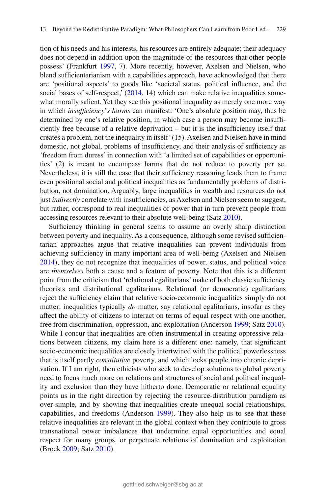tion of his needs and his interests, his resources are entirely adequate; their adequacy does not depend in addition upon the magnitude of the resources that other people possess' (Frankfurt 1997, 7). More recently, however, Axelsen and Nielsen, who blend sufficientarianism with a capabilities approach, have acknowledged that there are 'positional aspects' to goods like 'societal status, political influence, and the social bases of self-respect,'  $(2014, 14)$  which can make relative inequalities somewhat morally salient. Yet they see this positional inequality as merely one more way in which *insufficiency's harms* can manifest: 'One's absolute position may, thus be determined by one's relative position, in which case a person may become insufficiently free because of a relative deprivation  $-$  but it is the insufficiency itself that creates a problem, not the inequality in itself' (15). Axelsen and Nielsen have in mind domestic, not global, problems of insufficiency, and their analysis of sufficiency as 'freedom from duress' in connection with 'a limited set of capabilities or opportunities' (2) is meant to encompass harms that do not reduce to poverty per se. Nevertheless, it is still the case that their sufficiency reasoning leads them to frame even positional social and political inequalities as fundamentally problems of distribution, not domination. Arguably, large inequalities in wealth and resources do not just *indirectly* correlate with insufficiencies, as Axelsen and Nielsen seem to suggest, but rather, correspond to real inequalities of power that in turn prevent people from accessing resources relevant to their absolute well-being (Satz 2010).

Sufficiency thinking in general seems to assume an overly sharp distinction between poverty and inequality. As a consequence, although some revised sufficientarian approaches argue that relative inequalities can prevent individuals from achieving sufficiency in many important area of well-being (Axelsen and Nielsen 2014 ), they do not recognize that inequalities of power, status, and political voice are *themselves* both a cause and a feature of poverty. Note that this is a different point from the criticism that 'relational egalitarians' make of both classic sufficiency theorists and distributional egalitarians. Relational (or democratic) egalitarians reject the sufficiency claim that relative socio-economic inequalities simply do not matter; inequalities typically *do* matter, say relational egalitarians, insofar as they affect the ability of citizens to interact on terms of equal respect with one another, free from discrimination, oppression, and exploitation (Anderson 1999; Satz 2010). While I concur that inequalities are often instrumental in creating oppressive relations between citizens, my claim here is a different one: namely, that significant socio-economic inequalities are closely intertwined with the political powerlessness that is itself partly *constitutive* poverty, and which locks people into chronic deprivation. If I am right, then ethicists who seek to develop solutions to global poverty need to focus much more on relations and structures of social and political inequality and exclusion than they have hitherto done. Democratic or relational equality points us in the right direction by rejecting the resource-distribution paradigm as over-simple, and by showing that inequalities create unequal social relationships, capabilities, and freedoms (Anderson 1999). They also help us to see that these relative inequalities are relevant in the global context when they contribute to gross transnational power imbalances that undermine equal opportunities and equal respect for many groups, or perpetuate relations of domination and exploitation (Brock 2009; Satz 2010).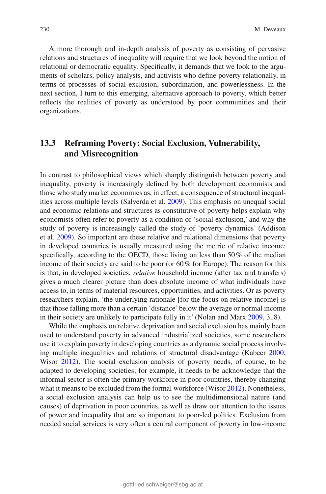A more thorough and in-depth analysis of poverty as consisting of pervasive relations and structures of inequality will require that we look beyond the notion of relational or democratic equality. Specifically, it demands that we look to the arguments of scholars, policy analysts, and activists who define poverty relationally, in terms of processes of social exclusion, subordination, and powerlessness. In the next section, I turn to this emerging, alternative approach to poverty, which better reflects the realities of poverty as understood by poor communities and their organizations.

## **13.3 Reframing Poverty: Social Exclusion, Vulnerability, and Misrecognition**

 In contrast to philosophical views which sharply distinguish between poverty and inequality, poverty is increasingly defined by both development economists and those who study market economies as, in effect, a consequence of structural inequalities across multiple levels (Salverda et al. 2009). This emphasis on unequal social and economic relations and structures as constitutive of poverty helps explain why economists often refer to poverty as a condition of 'social exclusion,' and why the study of poverty is increasingly called the study of 'poverty dynamics' (Addison et al. 2009 ). So important are these relative and relational dimensions that poverty in developed countries is usually measured using the metric of relative income: specifically, according to the OECD, those living on less than  $50\%$  of the median income of their society are said to be poor (or  $60\%$  for Europe). The reason for this is that, in developed societies, *relative* household income (after tax and transfers) gives a much clearer picture than does absolute income of what individuals have access to, in terms of material resources, opportunities, and activities. Or as poverty researchers explain, 'the underlying rationale [for the focus on relative income] is that those falling more than a certain 'distance' below the average or normal income in their society are unlikely to participate fully in it' (Nolan and Marx 2009 , 318).

 While the emphasis on relative deprivation and social exclusion has mainly been used to understand poverty in advanced industrialized societies, some researchers use it to explain poverty in developing countries as a dynamic social process involving multiple inequalities and relations of structural disadvantage (Kabeer 2000; Wisor 2012). The social exclusion analysis of poverty needs, of course, to be adapted to developing societies; for example, it needs to be acknowledge that the informal sector is often the primary workforce in poor countries, thereby changing what it means to be excluded from the formal workforce (Wisor 2012). Nonetheless, a social exclusion analysis can help us to see the multidimensional nature (and causes) of deprivation in poor countries, as well as draw our attention to the issues of power and inequality that are so important to poor-led politics. Exclusion from needed social services is very often a central component of poverty in low-income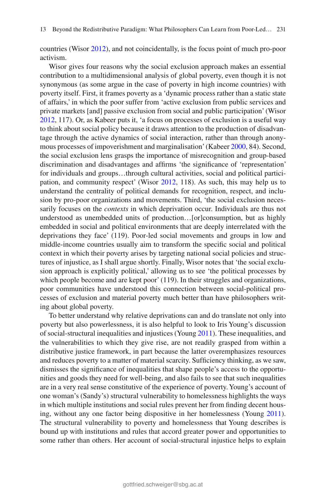countries (Wisor 2012 ), and not coincidentally, is the focus point of much pro-poor activism.

 Wisor gives four reasons why the social exclusion approach makes an essential contribution to a multidimensional analysis of global poverty, even though it is not synonymous (as some argue in the case of poverty in high income countries) with poverty itself. First, it frames poverty as a 'dynamic process rather than a static state of affairs,' in which the poor suffer from 'active exclusion from public services and private markets [and] passive exclusion from social and public participation' (Wisor 2012, 117). Or, as Kabeer puts it, 'a focus on processes of exclusion is a useful way to think about social policy because it draws attention to the production of disadvantage through the active dynamics of social interaction, rather than through anonymous processes of impoverishment and marginalisation' (Kabeer 2000, 84). Second, the social exclusion lens grasps the importance of misrecognition and group-based discrimination and disadvantages and affirms 'the significance of 'representation' for individuals and groups…through cultural activities, social and political participation, and community respect' (Wisor 2012, 118). As such, this may help us to understand the centrality of political demands for recognition, respect, and inclusion by pro-poor organizations and movements. Third, 'the social exclusion necessarily focuses on the *contexts* in which deprivation occur. Individuals are thus not understood as unembedded units of production…[or]consumption, but as highly embedded in social and political environments that are deeply interrelated with the deprivations they face' (119). Poor-led social movements and groups in low and middle-income countries usually aim to transform the specific social and political context in which their poverty arises by targeting national social policies and structures of injustice, as I shall argue shortly. Finally, Wisor notes that 'the social exclusion approach is explicitly political,' allowing us to see 'the political processes by which people become and are kept poor' (119). In their struggles and organizations, poor communities have understood this connection between social-political processes of exclusion and material poverty much better than have philosophers writing about global poverty.

 To better understand why relative deprivations can and do translate not only into poverty but also powerlessness, it is also helpful to look to Iris Young's discussion of social-structural inequalities and injustices (Young 2011 ). These inequalities, and the vulnerabilities to which they give rise, are not readily grasped from within a distributive justice framework, in part because the latter overemphasizes resources and reduces poverty to a matter of material scarcity. Sufficiency thinking, as we saw, dismisses the significance of inequalities that shape people's access to the opportunities and goods they need for well-being, and also fails to see that such inequalities are in a very real sense constitutive of the experience of poverty. Young's account of one woman's (Sandy's) structural vulnerability to homelessness highlights the ways in which multiple institutions and social rules prevent her from finding decent housing, without any one factor being dispositive in her homelessness (Young 2011). The structural vulnerability to poverty and homelessness that Young describes is bound up with institutions and rules that accord greater power and opportunities to some rather than others. Her account of social-structural injustice helps to explain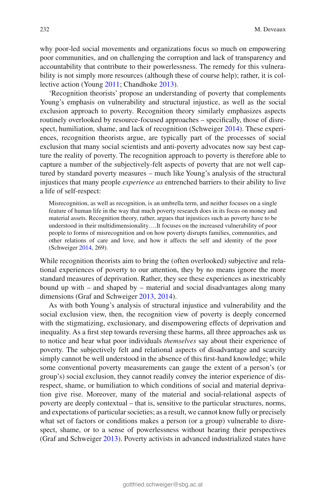why poor-led social movements and organizations focus so much on empowering poor communities, and on challenging the corruption and lack of transparency and accountability that contribute to their powerlessness. The remedy for this vulnerability is not simply more resources (although these of course help); rather, it is collective action (Young 2011; Chandhoke 2013).

 'Recognition theorists' propose an understanding of poverty that complements Young's emphasis on vulnerability and structural injustice, as well as the social exclusion approach to poverty. Recognition theory similarly emphasizes aspects routinely overlooked by resource-focused approaches – specifically, those of disrespect, humiliation, shame, and lack of recognition (Schweiger 2014). These experiences, recognition theorists argue, are typically part of the processes of social exclusion that many social scientists and anti-poverty advocates now say best capture the reality of poverty. The recognition approach to poverty is therefore able to capture a number of the subjectively-felt aspects of poverty that are not well captured by standard poverty measures – much like Young's analysis of the structural injustices that many people *experience as* entrenched barriers to their ability to live a life of self-respect:

 Misrecognition, as well as recognition, is an umbrella term, and neither focuses on a single feature of human life in the way that much poverty research does in its focus on money and material assets. Recognition theory, rather, argues that injustices such as poverty have to be understood in their multidimensionality….It focuses on the increased vulnerability of poor people to forms of misrecognition and on how poverty disrupts families, communities, and other relations of care and love, and how it affects the self and identity of the poor (Schweiger 2014, 269).

 While recognition theorists aim to bring the (often overlooked) subjective and relational experiences of poverty to our attention, they by no means ignore the more standard measures of deprivation. Rather, they see these experiences as inextricably bound up with – and shaped by – material and social disadvantages along many dimensions (Graf and Schweiger 2013, 2014).

 As with both Young's analysis of structural injustice and vulnerability and the social exclusion view, then, the recognition view of poverty is deeply concerned with the stigmatizing, exclusionary, and disempowering effects of deprivation and inequality. As a first step towards reversing these harms, all three approaches ask us to notice and hear what poor individuals *themselves* say about their experience of poverty. The subjectively felt and relational aspects of disadvantage and scarcity simply cannot be well understood in the absence of this first-hand knowledge; while some conventional poverty measurements can gauge the extent of a person's (or group's) social exclusion, they cannot readily convey the interior experience of disrespect, shame, or humiliation to which conditions of social and material deprivation give rise. Moreover, many of the material and social-relational aspects of poverty are deeply contextual – that is, sensitive to the particular structures, norms, and expectations of particular societies; as a result, we cannot know fully or precisely what set of factors or conditions makes a person (or a group) vulnerable to disrespect, shame, or to a sense of powerlessness without hearing their perspectives (Graf and Schweiger 2013). Poverty activists in advanced industrialized states have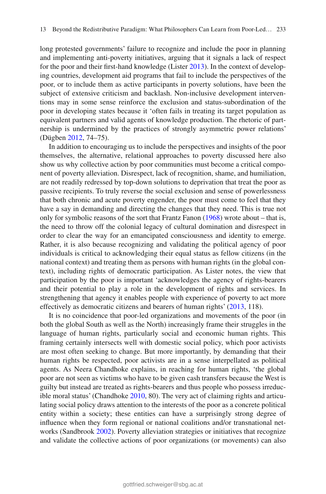long protested governments' failure to recognize and include the poor in planning and implementing anti-poverty initiatives, arguing that it signals a lack of respect for the poor and their first-hand knowledge (Lister  $2013$ ). In the context of developing countries, development aid programs that fail to include the perspectives of the poor, or to include them as active participants in poverty solutions, have been the subject of extensive criticism and backlash. Non-inclusive development interventions may in some sense reinforce the exclusion and status-subordination of the poor in developing states because it 'often fails in treating its target population as equivalent partners and valid agents of knowledge production. The rhetoric of partnership is undermined by the practices of strongly asymmetric power relations' (Dügben 2012, 74–75).

 In addition to encouraging us to include the perspectives and insights of the poor themselves, the alternative, relational approaches to poverty discussed here also show us why collective action by poor communities must become a critical component of poverty alleviation. Disrespect, lack of recognition, shame, and humiliation, are not readily redressed by top-down solutions to deprivation that treat the poor as passive recipients. To truly reverse the social exclusion and sense of powerlessness that both chronic and acute poverty engender, the poor must come to feel that they have a say in demanding and directing the changes that they need. This is true not only for symbolic reasons of the sort that Frantz Fanon  $(1968)$  wrote about – that is, the need to throw off the colonial legacy of cultural domination and disrespect in order to clear the way for an emancipated consciousness and identity to emerge. Rather, it is also because recognizing and validating the political agency of poor individuals is critical to acknowledging their equal status as fellow citizens (in the national context) and treating them as persons with human rights (in the global context), including rights of democratic participation. As Lister notes, the view that participation by the poor is important 'acknowledges the agency of rights-bearers and their potential to play a role in the development of rights and services. In strengthening that agency it enables people with experience of poverty to act more effectively as democratic citizens and bearers of human rights' (2013, 118).

 It is no coincidence that poor-led organizations and movements of the poor (in both the global South as well as the North) increasingly frame their struggles in the language of human rights, particularly social and economic human rights. This framing certainly intersects well with domestic social policy, which poor activists are most often seeking to change. But more importantly, by demanding that their human rights be respected, poor activists are in a sense interpellated as political agents. As Neera Chandhoke explains, in reaching for human rights, 'the global poor are not seen as victims who have to be given cash transfers because the West is guilty but instead are treated as rights-bearers and thus people who possess irreducible moral status' (Chandhoke 2010, 80). The very act of claiming rights and articulating social policy draws attention to the interests of the poor as a concrete political entity within a society; these entities can have a surprisingly strong degree of influence when they form regional or national coalitions and/or transnational networks (Sandbrook 2002). Poverty alleviation strategies or initiatives that recognize and validate the collective actions of poor organizations (or movements) can also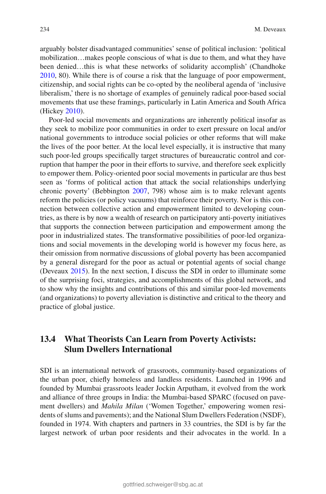arguably bolster disadvantaged communities' sense of political inclusion: 'political mobilization…makes people conscious of what is due to them, and what they have been denied…this is what these networks of solidarity accomplish' (Chandhoke 2010 , 80). While there is of course a risk that the language of poor empowerment, citizenship, and social rights can be co-opted by the neoliberal agenda of 'inclusive liberalism,' there is no shortage of examples of genuinely radical poor-based social movements that use these framings, particularly in Latin America and South Africa (Hickey 2010).

 Poor-led social movements and organizations are inherently political insofar as they seek to mobilize poor communities in order to exert pressure on local and/or national governments to introduce social policies or other reforms that will make the lives of the poor better. At the local level especially, it is instructive that many such poor-led groups specifically target structures of bureaucratic control and corruption that hamper the poor in their efforts to survive, and therefore seek explicitly to empower them. Policy-oriented poor social movements in particular are thus best seen as 'forms of political action that attack the social relationships underlying chronic poverty' (Bebbington 2007, 798) whose aim is to make relevant agents reform the policies (or policy vacuums) that reinforce their poverty. Nor is this connection between collective action and empowerment limited to developing countries, as there is by now a wealth of research on participatory anti-poverty initiatives that supports the connection between participation and empowerment among the poor in industrialized states. The transformative possibilities of poor-led organizations and social movements in the developing world is however my focus here, as their omission from normative discussions of global poverty has been accompanied by a general disregard for the poor as actual or potential agents of social change (Deveaux  $2015$ ). In the next section, I discuss the SDI in order to illuminate some of the surprising foci, strategies, and accomplishments of this global network, and to show why the insights and contributions of this and similar poor-led movements (and organizations) to poverty alleviation is distinctive and critical to the theory and practice of global justice.

## **13.4 What Theorists Can Learn from Poverty Activists: Slum Dwellers International**

 SDI is an international network of grassroots, community-based organizations of the urban poor, chiefly homeless and landless residents. Launched in 1996 and founded by Mumbai grassroots leader Jockin Arputham, it evolved from the work and alliance of three groups in India: the Mumbai-based SPARC (focused on pavement dwellers) and *Mahila Milan* ('Women Together,' empowering women residents of slums and pavements); and the National Slum Dwellers Federation (NSDF), founded in 1974. With chapters and partners in 33 countries, the SDI is by far the largest network of urban poor residents and their advocates in the world. In a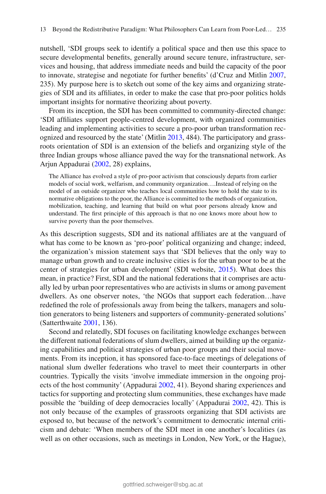nutshell, 'SDI groups seek to identify a political space and then use this space to secure developmental benefits, generally around secure tenure, infrastructure, services and housing, that address immediate needs and build the capacity of the poor to innovate, strategise and negotiate for further benefits' (d'Cruz and Mitlin 2007, 235). My purpose here is to sketch out some of the key aims and organizing strategies of SDI and its affiliates, in order to make the case that pro-poor politics holds important insights for normative theorizing about poverty.

 From its inception, the SDI has been committed to community-directed change: 'SDI affi liates support people-centred development, with organized communities leading and implementing activities to secure a pro-poor urban transformation recognized and resourced by the state' (Mitlin 2013 , 484). The participatory and grassroots orientation of SDI is an extension of the beliefs and organizing style of the three Indian groups whose alliance paved the way for the transnational network. As Arjun Appadurai (2002, 28) explains,

 The Alliance has evolved a style of pro-poor activism that consciously departs from earlier models of social work, welfarism, and community organization….Instead of relying on the model of an outside organizer who teaches local communities how to hold the state to its normative obligations to the poor, the Alliance is committed to the methods of organization, mobilization, teaching, and learning that build on what poor persons already know and understand. The first principle of this approach is that no one knows more about how to survive poverty than the poor themselves.

As this description suggests, SDI and its national affiliates are at the vanguard of what has come to be known as 'pro-poor' political organizing and change; indeed, the organization's mission statement says that 'SDI believes that the only way to manage urban growth and to create inclusive cities is for the urban poor to be at the center of strategies for urban development' (SDI website, 2015). What does this mean, in practice? First, SDI and the national federations that it comprises are actually led by urban poor representatives who are activists in slums or among pavement dwellers. As one observer notes, 'the NGOs that support each federation…have redefined the role of professionals away from being the talkers, managers and solution generators to being listeners and supporters of community-generated solutions' (Satterthwaite 2001, 136).

 Second and relatedly, SDI focuses on facilitating knowledge exchanges between the different national federations of slum dwellers, aimed at building up the organizing capabilities and political strategies of urban poor groups and their social movements. From its inception, it has sponsored face-to-face meetings of delegations of national slum dweller federations who travel to meet their counterparts in other countries. Typically the visits 'involve immediate immersion in the ongoing projects of the host community' (Appadurai 2002, 41). Beyond sharing experiences and tactics for supporting and protecting slum communities, these exchanges have made possible the 'building of deep democracies locally' (Appadurai 2002 , 42). This is not only because of the examples of grassroots organizing that SDI activists are exposed to, but because of the network's commitment to democratic internal criticism and debate: 'When members of the SDI meet in one another's localities (as well as on other occasions, such as meetings in London, New York, or the Hague),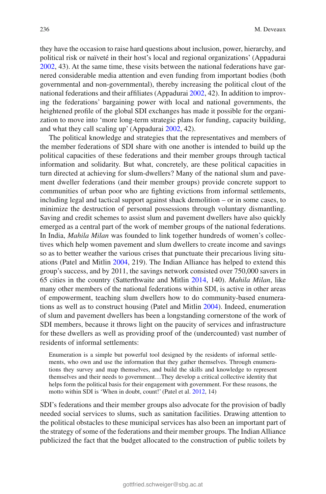they have the occasion to raise hard questions about inclusion, power, hierarchy, and political risk or naïveté in their host's local and regional organizations' (Appadurai 2002 , 43). At the same time, these visits between the national federations have garnered considerable media attention and even funding from important bodies (both governmental and non-governmental), thereby increasing the political clout of the national federations and their affiliates (Appadurai 2002, 42). In addition to improving the federations' bargaining power with local and national governments, the heightened profile of the global SDI exchanges has made it possible for the organization to move into 'more long-term strategic plans for funding, capacity building, and what they call scaling up' (Appadurai 2002, 42).

 The political knowledge and strategies that the representatives and members of the member federations of SDI share with one another is intended to build up the political capacities of these federations and their member groups through tactical information and solidarity. But what, concretely, are these political capacities in turn directed at achieving for slum-dwellers? Many of the national slum and pavement dweller federations (and their member groups) provide concrete support to communities of urban poor who are fighting evictions from informal settlements, including legal and tactical support against shack demolition – or in some cases, to minimize the destruction of personal possessions through voluntary dismantling. Saving and credit schemes to assist slum and pavement dwellers have also quickly emerged as a central part of the work of member groups of the national federations. In India, *Mahila Milan* was founded to link together hundreds of women's collectives which help women pavement and slum dwellers to create income and savings so as to better weather the various crises that punctuate their precarious living situations (Patel and Mitlin 2004 , 219). The Indian Alliance has helped to extend this group's success, and by 2011, the savings network consisted over 750,000 savers in 65 cities in the country (Satterthwaite and Mitlin 2014 , 140). *Mahila Milan* , like many other members of the national federations within SDI, is active in other areas of empowerment, teaching slum dwellers how to do community-based enumerations as well as to construct housing (Patel and Mitlin 2004). Indeed, enumeration of slum and pavement dwellers has been a longstanding cornerstone of the work of SDI members, because it throws light on the paucity of services and infrastructure for these dwellers as well as providing proof of the (undercounted) vast number of residents of informal settlements:

 Enumeration is a simple but powerful tool designed by the residents of informal settlements, who own and use the information that they gather themselves. Through enumerations they survey and map themselves, and build the skills and knowledge to represent themselves and their needs to government…They develop a critical collective identity that helps form the political basis for their engagement with government. For these reasons, the motto within SDI is 'When in doubt, count!' (Patel et al. 2012, 14)

 SDI's federations and their member groups also advocate for the provision of badly needed social services to slums, such as sanitation facilities. Drawing attention to the political obstacles to these municipal services has also been an important part of the strategy of some of the federations and their member groups. The Indian Alliance publicized the fact that the budget allocated to the construction of public toilets by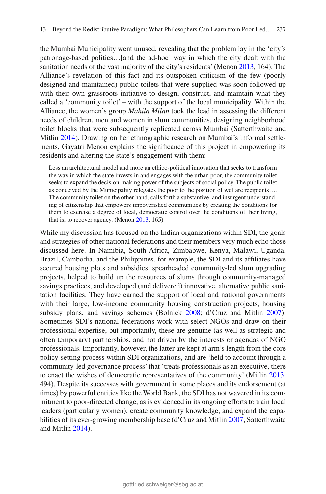the Mumbai Municipality went unused, revealing that the problem lay in the 'city's patronage-based politics…[and the ad-hoc] way in which the city dealt with the sanitation needs of the vast majority of the city's residents' (Menon 2013 , 164). The Alliance's revelation of this fact and its outspoken criticism of the few (poorly designed and maintained) public toilets that were supplied was soon followed up with their own grassroots initiative to design, construct, and maintain what they called a 'community toilet' – with the support of the local municipality. Within the Alliance, the women's group *Mahila Milan* took the lead in assessing the different needs of children, men and women in slum communities, designing neighborhood toilet blocks that were subsequently replicated across Mumbai (Satterthwaite and Mitlin 2014). Drawing on her ethnographic research on Mumbai's informal settlements, Gayatri Menon explains the significance of this project in empowering its residents and altering the state's engagement with them:

 Less an architectural model and more an ethico-political innovation that seeks to transform the way in which the state invests in and engages with the urban poor, the community toilet seeks to expand the decision-making power of the subjects of social policy. The public toilet as conceived by the Municipality relegates the poor to the position of welfare recipients…. The community toilet on the other hand, calls forth a substantive, and insurgent understanding of citizenship that empowers impoverished communities by creating the conditions for them to exercise a degree of local, democratic control over the conditions of their living, that is, to recover agency. (Menon  $2013$ , 165)

 While my discussion has focused on the Indian organizations within SDI, the goals and strategies of other national federations and their members very much echo those discussed here. In Namibia, South Africa, Zimbabwe, Kenya, Malawi, Uganda, Brazil, Cambodia, and the Philippines, for example, the SDI and its affiliates have secured housing plots and subsidies, spearheaded community-led slum upgrading projects, helped to build up the resources of slums through community-managed savings practices, and developed (and delivered) innovative, alternative public sanitation facilities. They have earned the support of local and national governments with their large, low-income community housing construction projects, housing subsidy plans, and savings schemes (Bolnick  $2008$ ; d'Cruz and Mitlin  $2007$ ). Sometimes SDI's national federations work with select NGOs and draw on their professional expertise, but importantly, these are genuine (as well as strategic and often temporary) partnerships, and not driven by the interests or agendas of NGO professionals. Importantly, however, the latter are kept at arm's length from the core policy-setting process within SDI organizations, and are 'held to account through a community-led governance process' that 'treats professionals as an executive, there to enact the wishes of democratic representatives of the community' (Mitlin 2013 , 494). Despite its successes with government in some places and its endorsement (at times) by powerful entities like the World Bank, the SDI has not wavered in its commitment to poor-directed change, as is evidenced in its ongoing efforts to train local leaders (particularly women), create community knowledge, and expand the capabilities of its ever-growing membership base (d'Cruz and Mitlin 2007; Satterthwaite and Mitlin  $2014$ .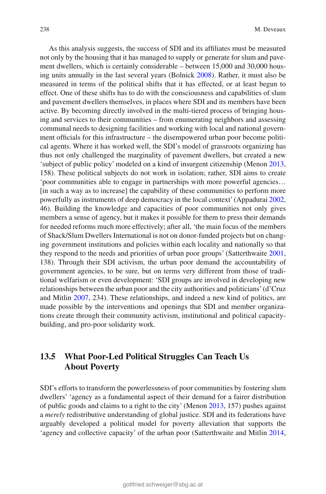As this analysis suggests, the success of SDI and its affiliates must be measured not only by the housing that it has managed to supply or generate for slum and pavement dwellers, which is certainly considerable – between 15,000 and 30,000 housing units annually in the last several years (Bolnick 2008 ). Rather, it must also be measured in terms of the political shifts that it has effected, or at least begun to effect. One of these shifts has to do with the consciousness and capabilities of slum and pavement dwellers themselves, in places where SDI and its members have been active. By becoming directly involved in the multi-tiered process of bringing housing and services to their communities – from enumerating neighbors and assessing communal needs to designing facilities and working with local and national government officials for this infrastructure – the disempowered urban poor become political agents. Where it has worked well, the SDI's model of grassroots organizing has thus not only challenged the marginality of pavement dwellers, but created a new 'subject of public policy' modeled on a kind of insurgent citizenship (Menon 2013, 158). These political subjects do not work in isolation; rather, SDI aims to create 'poor communities able to engage in partnerships with more powerful agencies… [in such a way as to increase] the capability of these communities to perform more powerfully as instruments of deep democracy in the local context' (Appadurai 2002 , 46). Building the knowledge and capacities of poor communities not only gives members a sense of agency, but it makes it possible for them to press their demands for needed reforms much more effectively; after all, 'the main focus of the members of Shack/Slum Dwellers International is not on donor-funded projects but on changing government institutions and policies within each locality and nationally so that they respond to the needs and priorities of urban poor groups' (Satterthwaite 2001, 138). Through their SDI activism, the urban poor demand the accountability of government agencies, to be sure, but on terms very different from those of traditional welfarism or even development: 'SDI groups are involved in developing new relationships between the urban poor and the city authorities and politicians' (d'Cruz and Mitlin 2007, 234). These relationships, and indeed a new kind of politics, are made possible by the interventions and openings that SDI and member organizations create through their community activism, institutional and political capacitybuilding, and pro-poor solidarity work.

## **13.5 What Poor-Led Political Struggles Can Teach Us About Poverty**

 SDI's efforts to transform the powerlessness of poor communities by fostering slum dwellers' 'agency as a fundamental aspect of their demand for a fairer distribution of public goods and claims to a right to the city' (Menon 2013 , 157) pushes against a *merely* redistributive understanding of global justice. SDI and its federations have arguably developed a political model for poverty alleviation that supports the 'agency and collective capacity' of the urban poor (Satterthwaite and Mitlin 2014,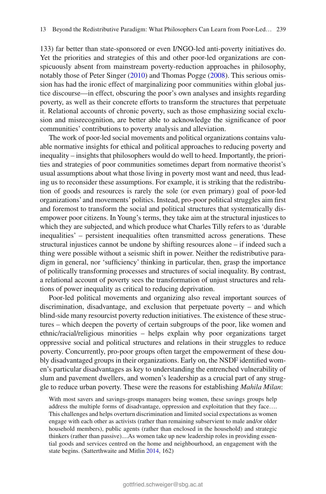133) far better than state-sponsored or even I/NGO-led anti-poverty initiatives do. Yet the priorities and strategies of this and other poor-led organizations are conspicuously absent from mainstream poverty-reduction approaches in philosophy, notably those of Peter Singer (2010) and Thomas Pogge (2008). This serious omission has had the ironic effect of marginalizing poor communities within global justice discourse—in effect, obscuring the poor's own analyses and insights regarding poverty, as well as their concrete efforts to transform the structures that perpetuate it. Relational accounts of chronic poverty, such as those emphasizing social exclusion and misrecognition, are better able to acknowledge the significance of poor communities' contributions to poverty analysis and alleviation.

 The work of poor-led social movements and political organizations contains valuable normative insights for ethical and political approaches to reducing poverty and inequality – insights that philosophers would do well to heed. Importantly, the priorities and strategies of poor communities sometimes depart from normative theorist's usual assumptions about what those living in poverty most want and need, thus leading us to reconsider these assumptions. For example, it is striking that the redistribution of goods and resources is rarely the sole (or even primary) goal of poor-led organizations' and movements' politics. Instead, pro-poor political struggles aim first and foremost to transform the social and political structures that systematically disempower poor citizens. In Young's terms, they take aim at the structural injustices to which they are subjected, and which produce what Charles Tilly refers to as 'durable inequalities' – persistent inequalities often transmitted across generations. These structural injustices cannot be undone by shifting resources alone – if indeed such a thing were possible without a seismic shift in power. Neither the redistributive paradigm in general, nor 'sufficiency' thinking in particular, then, grasp the importance of politically transforming processes and structures of social inequality. By contrast, a relational account of poverty sees the transformation of unjust structures and relations of power inequality as critical to reducing deprivation.

 Poor-led political movements and organizing also reveal important sources of discrimination, disadvantage, and exclusion that perpetuate poverty – and which blind-side many resourcist poverty reduction initiatives. The existence of these structures – which deepen the poverty of certain subgroups of the poor, like women and ethnic/racial/religious minorities – helps explain why poor organizations target oppressive social and political structures and relations in their struggles to reduce poverty. Concurrently, pro-poor groups often target the empowerment of these doubly disadvantaged groups in their organizations. Early on, the NSDF identified women's particular disadvantages as key to understanding the entrenched vulnerability of slum and pavement dwellers, and women's leadership as a crucial part of any struggle to reduce urban poverty. These were the reasons for establishing *Mahila Milan* :

With most savers and savings-groups managers being women, these savings groups help address the multiple forms of disadvantage, oppression and exploitation that they face…. This challenges and helps overturn discrimination and limited social expectations as women engage with each other as activists (rather than remaining subservient to male and/or older household members), public agents (rather than enclosed in the household) and strategic thinkers (rather than passive)....As women take up new leadership roles in providing essential goods and services centred on the home and neighbourhood, an engagement with the state begins. (Satterthwaite and Mitlin 2014, 162)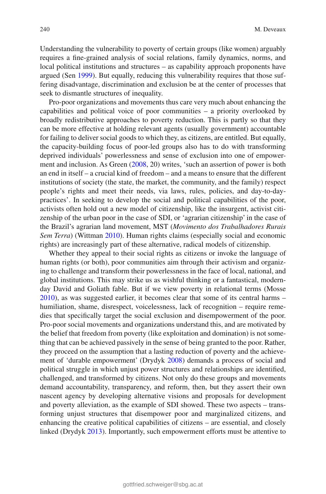Understanding the vulnerability to poverty of certain groups (like women) arguably requires a fine-grained analysis of social relations, family dynamics, norms, and local political institutions and structures – as capability approach proponents have argued (Sen 1999). But equally, reducing this vulnerability requires that those suffering disadvantage, discrimination and exclusion be at the center of processes that seek to dismantle structures of inequality.

 Pro-poor organizations and movements thus care very much about enhancing the capabilities and political voice of poor communities – a priority overlooked by broadly redistributive approaches to poverty reduction. This is partly so that they can be more effective at holding relevant agents (usually government) accountable for failing to deliver social goods to which they, as citizens, are entitled. But equally, the capacity-building focus of poor-led groups also has to do with transforming deprived individuals' powerlessness and sense of exclusion into one of empowerment and inclusion. As Green  $(2008, 20)$  writes, 'such an assertion of power is both an end in itself – a crucial kind of freedom – and a means to ensure that the different institutions of society (the state, the market, the community, and the family) respect people's rights and meet their needs, via laws, rules, policies, and day-to-daypractices'. In seeking to develop the social and political capabilities of the poor, activists often hold out a new model of citizenship, like the insurgent, activist citizenship of the urban poor in the case of SDI, or 'agrarian citizenship' in the case of the Brazil's agrarian land movement, MST ( *Movimento dos Trabalhadores Rurais Sem Terra*) (Wittman 2010). Human rights claims (especially social and economic rights) are increasingly part of these alternative, radical models of citizenship.

 Whether they appeal to their social rights as citizens or invoke the language of human rights (or both), poor communities aim through their activism and organizing to challenge and transform their powerlessness in the face of local, national, and global institutions. This may strike us as wishful thinking or a fantastical, modernday David and Goliath fable. But if we view poverty in relational terms (Mosse  $2010$ , as was suggested earlier, it becomes clear that some of its central harms – humiliation, shame, disrespect, voicelessness, lack of recognition – require remedies that specifically target the social exclusion and disempowerment of the poor. Pro-poor social movements and organizations understand this, and are motivated by the belief that freedom from poverty (like exploitation and domination) is not something that can be achieved passively in the sense of being granted to the poor. Rather, they proceed on the assumption that a lasting reduction of poverty and the achievement of 'durable empowerment' (Drydyk 2008) demands a process of social and political struggle in which unjust power structures and relationships are identified, challenged, and transformed by citizens. Not only do these groups and movements demand accountability, transparency, and reform, then, but they assert their own nascent agency by developing alternative visions and proposals for development and poverty alleviation, as the example of SDI showed. These two aspects – transforming unjust structures that disempower poor and marginalized citizens, and enhancing the creative political capabilities of citizens – are essential, and closely linked (Drydyk 2013). Importantly, such empowerment efforts must be attentive to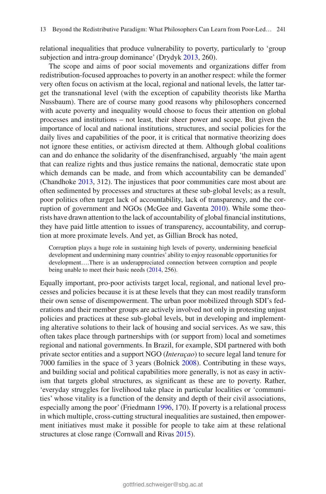relational inequalities that produce vulnerability to poverty, particularly to 'group subjection and intra-group dominance' (Drydyk 2013, 260).

 The scope and aims of poor social movements and organizations differ from redistribution-focused approaches to poverty in an another respect: while the former very often focus on activism at the local, regional and national levels, the latter target the transnational level (with the exception of capability theorists like Martha Nussbaum). There are of course many good reasons why philosophers concerned with acute poverty and inequality would choose to focus their attention on global processes and institutions – not least, their sheer power and scope. But given the importance of local and national institutions, structures, and social policies for the daily lives and capabilities of the poor, it is critical that normative theorizing does not ignore these entities, or activism directed at them. Although global coalitions can and do enhance the solidarity of the disenfranchised, arguably 'the main agent that can realize rights and thus justice remains the national, democratic state upon which demands can be made, and from which accountability can be demanded' (Chandhoke 2013 , 312). The injustices that poor communities care most about are often sedimented by processes and structures at these sub-global levels; as a result, poor politics often target lack of accountability, lack of transparency, and the corruption of government and NGOs (McGee and Gaventa 2010). While some theorists have drawn attention to the lack of accountability of global financial institutions, they have paid little attention to issues of transparency, accountability, and corruption at more proximate levels. And yet, as Gillian Brock has noted,

Corruption plays a huge role in sustaining high levels of poverty, undermining beneficial development and undermining many countries' ability to enjoy reasonable opportunities for development….There is an underappreciated connection between corruption and people being unable to meet their basic needs  $(2014, 256)$ .

 Equally important, pro-poor activists target local, regional, and national level processes and policies because it is at these levels that they can most readily transform their own sense of disempowerment. The urban poor mobilized through SDI's federations and their member groups are actively involved not only in protesting unjust policies and practices at these sub-global levels, but in developing and implementing alterative solutions to their lack of housing and social services. As we saw, this often takes place through partnerships with (or support from) local and sometimes regional and national governments. In Brazil, for example, SDI partnered with both private sector entities and a support NGO ( *Interaçao* ) to secure legal land tenure for 7000 families in the space of 3 years (Bolnick 2008). Contributing in these ways, and building social and political capabilities more generally, is not as easy in activism that targets global structures, as significant as these are to poverty. Rather, 'everyday struggles for livelihood take place in particular localities or 'communities' whose vitality is a function of the density and depth of their civil associations, especially among the poor' (Friedmann 1996, 170). If poverty is a relational process in which multiple, cross-cutting structural inequalities are sustained, then empowerment initiatives must make it possible for people to take aim at these relational structures at close range (Cornwall and Rivas 2015).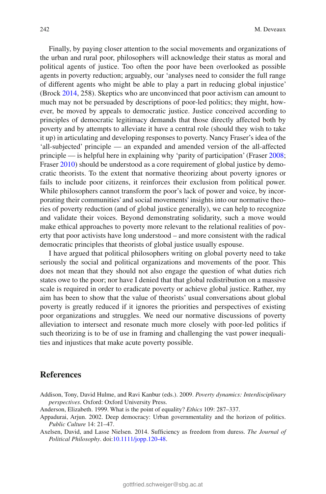Finally, by paying closer attention to the social movements and organizations of the urban and rural poor, philosophers will acknowledge their status as moral and political agents of justice. Too often the poor have been overlooked as possible agents in poverty reduction; arguably, our 'analyses need to consider the full range of different agents who might be able to play a part in reducing global injustice' (Brock 2014 , 258). Skeptics who are unconvinced that poor activism can amount to much may not be persuaded by descriptions of poor-led politics; they might, however, be moved by appeals to democratic justice. Justice conceived according to principles of democratic legitimacy demands that those directly affected both by poverty and by attempts to alleviate it have a central role (should they wish to take it up) in articulating and developing responses to poverty. Nancy Fraser's idea of the 'all-subjected' principle — an expanded and amended version of the all-affected principle — is helpful here in explaining why 'parity of participation' (Fraser  $2008$ ; Fraser 2010) should be understood as a core requirement of global justice by democratic theorists. To the extent that normative theorizing about poverty ignores or fails to include poor citizens, it reinforces their exclusion from political power. While philosophers cannot transform the poor's lack of power and voice, by incorporating their communities' and social movements' insights into our normative theories of poverty reduction (and of global justice generally), we can help to recognize and validate their voices. Beyond demonstrating solidarity, such a move would make ethical approaches to poverty more relevant to the relational realities of poverty that poor activists have long understood – and more consistent with the radical democratic principles that theorists of global justice usually espouse.

 I have argued that political philosophers writing on global poverty need to take seriously the social and political organizations and movements of the poor. This does not mean that they should not also engage the question of what duties rich states owe to the poor; nor have I denied that that global redistribution on a massive scale is required in order to eradicate poverty or achieve global justice. Rather, my aim has been to show that the value of theorists' usual conversations about global poverty is greatly reduced if it ignores the priorities and perspectives of existing poor organizations and struggles. We need our normative discussions of poverty alleviation to intersect and resonate much more closely with poor-led politics if such theorizing is to be of use in framing and challenging the vast power inequalities and injustices that make acute poverty possible.

## **References**

- Addison, Tony, David Hulme, and Ravi Kanbur (eds.). 2009. *Poverty dynamics: Interdisciplinary perspectives* . Oxford: Oxford University Press.
- Anderson, Elizabeth. 1999. What is the point of equality? *Ethics* 109: 287–337.
- Appadurai, Arjun. 2002. Deep democracy: Urban governmentality and the horizon of politics. *Public Culture* 14: 21–47.

Axelsen, David, and Lasse Nielsen. 2014. Sufficiency as freedom from duress. *The Journal of Political Philosophy* . doi[:10.1111/jopp.120-48.](http://dx.doi.org/10.1111/jopp.120-48)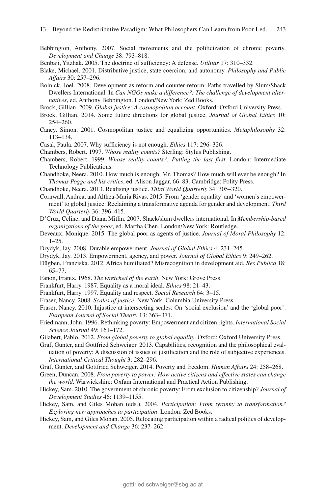- Bebbington, Anthony. 2007. Social movements and the politicization of chronic poverty. *Development and Change* 38: 793–818.
- Benbaji, Yitzhak. 2005. The doctrine of sufficiency: A defense. *Utilitas* 17: 310–332.
- Blake, Michael. 2001. Distributive justice, state coercion, and autonomy. *Philosophy and Public Affairs* 30: 257–296.
- Bolnick, Joel. 2008. Development as reform and counter-reform: Paths travelled by Slum/Shack Dwellers International. In *Can NGOs make a difference?: The challenge of development alternatives* , ed. Anthony Bebbington. London/New York: Zed Books.
- Brock, Gillian. 2009. *Global justice: A cosmopolitan account* . Oxford: Oxford University Press.
- Brock, Gillian. 2014. Some future directions for global justice. *Journal of Global Ethics* 10: 254–260.
- Caney, Simon. 2001. Cosmopolitan justice and equalizing opportunities. *Metaphilosophy* 32: 113–134.
- Casal, Paula. 2007. Why sufficiency is not enough. *Ethics* 117: 296–326.
- Chambers, Robert. 1997. *Whose reality counts?* Sterling: Stylus Publishing.
- Chambers, Robert. 1999. *Whose reality counts?: Putting the last first*. London: Intermediate Technology Publications.
- Chandhoke, Neera. 2010. How much is enough, Mr. Thomas? How much will ever be enough? In *Thomas Pogge and his critics* , ed. Alison Jaggar, 66–83. Cambridge: Polity Press.
- Chandhoke, Neera. 2013. Realising justice. *Third World Quarterly* 34: 305–320.
- Cornwall, Andrea, and Althea-Maria Rivas. 2015. From 'gender equality' and 'women's empowerment' to global justice: Reclaiming a transformative agenda for gender and development. *Third World Quarterly* 36: 396–415.
- D'Cruz, Celine, and Diana Mitlin. 2007. Shack/slum dwellers international. In *Membership-based organizations of the poor* , ed. Martha Chen. London/New York: Routledge.
- Deveaux, Monique. 2015. The global poor as agents of justice. *Journal of Moral Philosophy* 12: 1–25.
- Drydyk, Jay. 2008. Durable empowerment. *Journal of Global Ethics* 4: 231–245.
- Drydyk, Jay. 2013. Empowerment, agency, and power. *Journal of Global Ethics* 9: 249–262.
- Dügben, Franziska. 2012. Africa humiliated? Misrecognition in development aid. *Res Publica* 18: 65–77.
- Fanon, Frantz. 1968. *The wretched of the earth*. New York: Grove Press.
- Frankfurt, Harry. 1987. Equality as a moral ideal. *Ethics* 98: 21–43.
- Frankfurt, Harry. 1997. Equality and respect. *Social Research* 64: 3–15.
- Fraser, Nancy. 2008. *Scales of justice* . New York: Columbia University Press.
- Fraser, Nancy. 2010. Injustice at intersecting scales: On 'social exclusion' and the 'global poor'. *European Journal of Social Theory* 13: 363–371.
- Friedmann, John. 1996. Rethinking poverty: Empowerment and citizen rights. *International Social Science Journal* 49: 161–172.
- Gilabert, Pablo. 2012. *From global poverty to global equality* . Oxford: Oxford University Press.
- Graf, Gunter, and Gottfried Schweiger. 2013. Capabilities, recognition and the philosophical evaluation of poverty: A discussion of issues of justification and the role of subjective experiences. *International Critical Thought* 3: 282–296.
- Graf, Gunter, and Gottfried Schweiger. 2014. Poverty and freedom. *Human Affairs* 24: 258–268.
- Green, Duncan. 2008. *From poverty to power: How active citizens and effective states can change the world*. Warwickshire: Oxfam International and Practical Action Publishing.
- Hickey, Sam. 2010. The government of chronic poverty: From exclusion to citizenship? *Journal of Development Studies* 46: 1139–1155.
- Hickey, Sam, and Giles Mohan (eds.). 2004. *Participation: From tyranny to transformation? Exploring new approaches to participation* . London: Zed Books.
- Hickey, Sam, and Giles Mohan. 2005. Relocating participation within a radical politics of development. *Development and Change* 36: 237–262.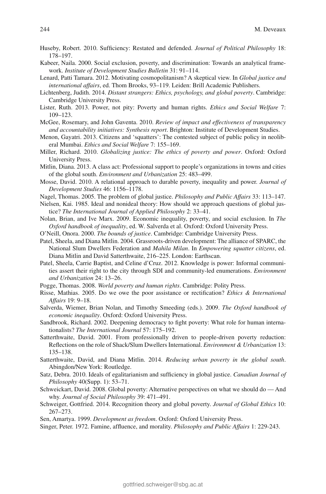- Huseby, Robert. 2010. Sufficiency: Restated and defended. *Journal of Political Philosophy* 18: 178–197.
- Kabeer, Naila. 2000. Social exclusion, poverty, and discrimination: Towards an analytical framework. *Institute of Development Studies Bulletin* 31: 91–114.
- Lenard, Patti Tamara. 2012. Motivating cosmopolitanism? A skeptical view. In *Global justice and international affairs* , ed. Thom Brooks, 93–119. Leiden: Brill Academic Publishers.
- Lichtenberg, Judith. 2014. *Distant strangers: Ethics, psychology, and global poverty* . Cambridge: Cambridge University Press.
- Lister, Ruth. 2013. Power, not pity: Poverty and human rights. *Ethics and Social Welfare* 7: 109–123.
- McGee, Rosemary, and John Gaventa. 2010. *Review of impact and effectiveness of transparency and accountability initiatives: Synthesis report* . Brighton: Institute of Development Studies.
- Menon, Gayatri. 2013. Citizens and 'squatters': The contested subject of public policy in neoliberal Mumbai. *Ethics and Social Welfare* 7: 155–169.
- Miller, Richard. 2010. *Globalizing justice: The ethics of poverty and power* . Oxford: Oxford University Press.
- Mitlin, Diana. 2013. A class act: Professional support to people's organizations in towns and cities of the global south. *Environment and Urbanization* 25: 483–499.
- Mosse, David. 2010. A relational approach to durable poverty, inequality and power. *Journal of Development Studies* 46: 1156–1178.
- Nagel, Thomas. 2005. The problem of global justice. *Philosophy and Public Affairs* 33: 113–147.
- Nielsen, Kai. 1985. Ideal and nonideal theory: How should we approach questions of global justice? *The International Journal of Applied Philosophy* 2: 33–41.
- Nolan, Brian, and Ive Marx. 2009. Economic inequality, poverty, and social exclusion. In *The Oxford handbook of inequality* , ed. W. Salverda et al. Oxford: Oxford University Press.
- O'Neill, Onora. 2000. *The bounds of justice* . Cambridge: Cambridge University Press.
- Patel, Sheela, and Diana Mitlin. 2004. Grassroots-driven development: The alliance of SPARC, the National Slum Dwellers Federation and *Mahila Milan* . In *Empowering squatter citizens* , ed. Diana Mitlin and David Satterthwaite, 216–225. London: Earthscan.
- Patel, Sheela, Carrie Baptist, and Celine d'Cruz. 2012. Knowledge is power: Informal communities assert their right to the city through SDI and community-led enumerations. *Environment and Urbanization* 24: 13–26.

Pogge, Thomas. 2008. *World poverty and human rights* . Cambridge: Polity Press.

- Risse, Mathias. 2005. Do we owe the poor assistance or rectification? *Ethics & International Affairs* 19: 9–18.
- Salverda, Wiemer, Brian Nolan, and Timothy Smeeding (eds.). 2009. *The Oxford handbook of economic inequality* . Oxford: Oxford University Press.
- Sandbrook, Richard. 2002. Deepening democracy to fight poverty: What role for human internationalists? *The International Journal* 57: 175–192.
- Satterthwaite, David. 2001. From professionally driven to people-driven poverty reduction: Refl ections on the role of Shack/Slum Dwellers International. *Environment & Urbanization* 13: 135–138.
- Satterthwaite, David, and Diana Mitlin. 2014. *Reducing urban poverty in the global south* . Abingdon/New York: Routledge.
- Satz, Debra. 2010. Ideals of egalitarianism and sufficiency in global justice. *Canadian Journal of Philosophy* 40(Supp. 1): 53–71.
- Schweickart, David. 2008. Global poverty: Alternative perspectives on what we should do And why. *Journal of Social Philosophy* 39: 471–491.
- Schweiger, Gottfried. 2014. Recognition theory and global poverty. *Journal of Global Ethics* 10: 267–273.

Sen, Amartya. 1999. *Development as freedom*. Oxford: Oxford University Press.

Singer, Peter. 1972. Famine, affl uence, and morality. *Philosophy and Public Affairs* 1: 229-243.